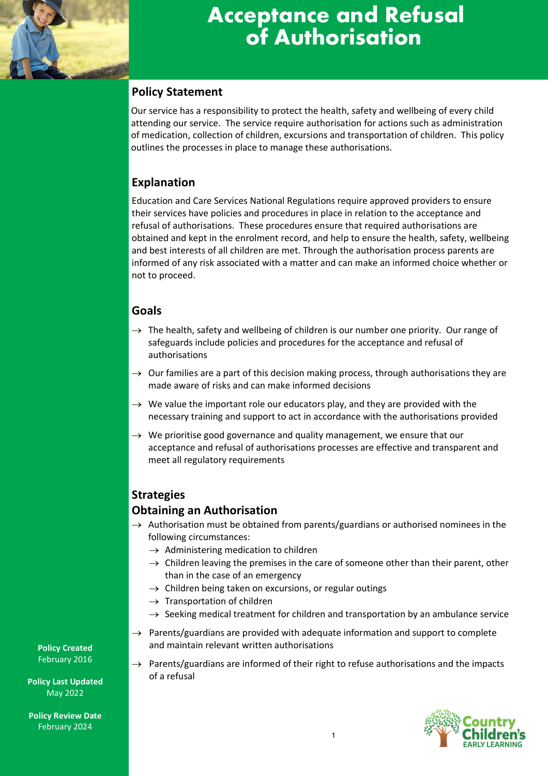

# **Acceptance and Refusal of Authorisation**

# **Policy Statement**

Our service has a responsibility to protect the health, safety and wellbeing of every child attending our service. The service require authorisation for actions such as administration of medication, collection of children, excursions and transportation of children. This policy outlines the processes in place to manage these authorisations.

# **Explanation**

Education and Care Services National Regulations require approved providers to ensure their services have policies and procedures in place in relation to the acceptance and refusal of authorisations. These procedures ensure that required authorisations are obtained and kept in the enrolment record, and help to ensure the health, safety, wellbeing and best interests of all children are met. Through the authorisation process parents are informed of any risk associated with a matter and can make an informed choice whether or not to proceed.

# **Goals**

- $\rightarrow$  The health, safety and wellbeing of children is our number one priority. Our range of safeguards include policies and procedures for the acceptance and refusal of authorisations
- $\rightarrow$  Our families are a part of this decision making process, through authorisations they are made aware of risks and can make informed decisions
- $\rightarrow$  We value the important role our educators play, and they are provided with the necessary training and support to act in accordance with the authorisations provided
- $\rightarrow$  We prioritise good governance and quality management, we ensure that our acceptance and refusal of authorisations processes are effective and transparent and meet all regulatory requirements

# **Strategies**

## **Obtaining an Authorisation**

- $\rightarrow$  Authorisation must be obtained from parents/guardians or authorised nominees in the following circumstances:
	- $\rightarrow$  Administering medication to children
	- $\rightarrow$  Children leaving the premises in the care of someone other than their parent, other than in the case of an emergency
	- $\rightarrow$  Children being taken on excursions, or regular outings
	- $\rightarrow$  Transportation of children
	- $\rightarrow$  Seeking medical treatment for children and transportation by an ambulance service
- $\rightarrow$  Parents/guardians are provided with adequate information and support to complete and maintain relevant written authorisations
- $\rightarrow$  Parents/guardians are informed of their right to refuse authorisations and the impacts of a refusal



**Policy Created** February 2016

**Policy Last Updated** May 2022

**Policy Review Date** February 2024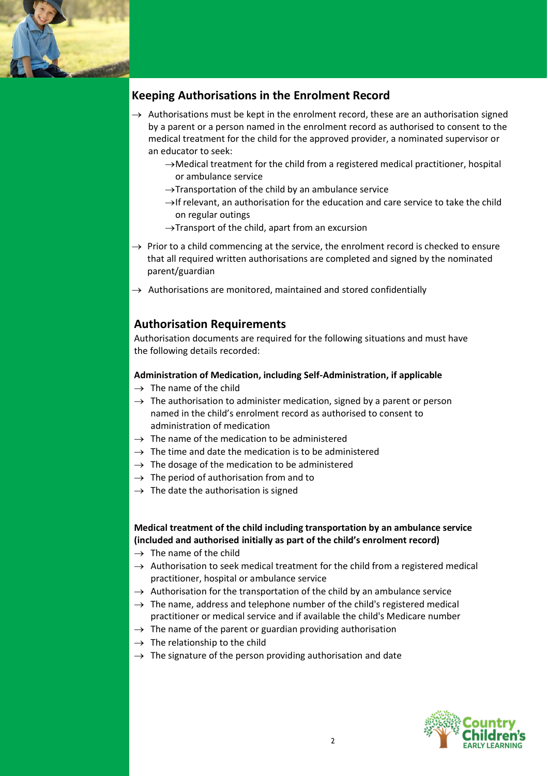

# **Keeping Authorisations in the Enrolment Record**

- $\rightarrow$  Authorisations must be kept in the enrolment record, these are an authorisation signed by a parent or a person named in the enrolment record as authorised to consent to the medical treatment for the child for the approved provider, a nominated supervisor or an educator to seek:
	- →Medical treatment for the child from a registered medical practitioner, hospital or ambulance service
	- $\rightarrow$ Transportation of the child by an ambulance service
	- $\rightarrow$ If relevant, an authorisation for the education and care service to take the child on regular outings
	- $\rightarrow$ Transport of the child, apart from an excursion
- $\rightarrow$  Prior to a child commencing at the service, the enrolment record is checked to ensure that all required written authorisations are completed and signed by the nominated parent/guardian
- $\rightarrow$  Authorisations are monitored, maintained and stored confidentially

## **Authorisation Requirements**

Authorisation documents are required for the following situations and must have the following details recorded:

#### **Administration of Medication, including Self-Administration, if applicable**

- $\rightarrow$  The name of the child
- $\rightarrow$  The authorisation to administer medication, signed by a parent or person named in the child's enrolment record as authorised to consent to administration of medication
- $\rightarrow$  The name of the medication to be administered
- $\rightarrow$  The time and date the medication is to be administered
- $\rightarrow$  The dosage of the medication to be administered
- $\rightarrow$  The period of authorisation from and to
- $\rightarrow$  The date the authorisation is signed

**Medical treatment of the child including transportation by an ambulance service (included and authorised initially as part of the child's enrolment record)**

- $\rightarrow$  The name of the child
- $\rightarrow$  Authorisation to seek medical treatment for the child from a registered medical practitioner, hospital or ambulance service
- $\rightarrow$  Authorisation for the transportation of the child by an ambulance service
- $\rightarrow$  The name, address and telephone number of the child's registered medical practitioner or medical service and if available the child's Medicare number
- $\rightarrow$  The name of the parent or guardian providing authorisation
- $\rightarrow$  The relationship to the child
- $\rightarrow$  The signature of the person providing authorisation and date

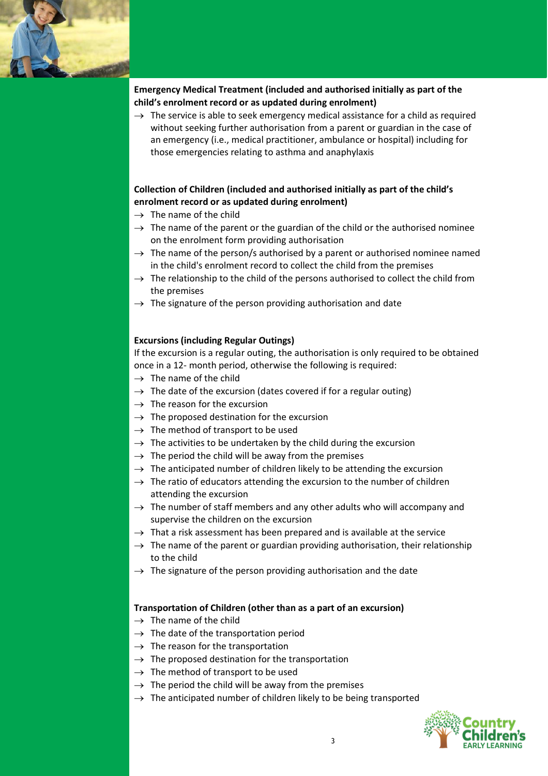

#### **Emergency Medical Treatment (included and authorised initially as part of the child's enrolment record or as updated during enrolment)**

 $\rightarrow$  The service is able to seek emergency medical assistance for a child as required without seeking further authorisation from a parent or guardian in the case of an emergency (i.e., medical practitioner, ambulance or hospital) including for those emergencies relating to asthma and anaphylaxis

#### **Collection of Children (included and authorised initially as part of the child's enrolment record or as updated during enrolment)**

- $\rightarrow$  The name of the child
- $\rightarrow$  The name of the parent or the guardian of the child or the authorised nominee on the enrolment form providing authorisation
- $\rightarrow$  The name of the person/s authorised by a parent or authorised nominee named in the child's enrolment record to collect the child from the premises
- $\rightarrow$  The relationship to the child of the persons authorised to collect the child from the premises
- $\rightarrow$  The signature of the person providing authorisation and date

#### **Excursions (including Regular Outings)**

If the excursion is a regular outing, the authorisation is only required to be obtained once in a 12- month period, otherwise the following is required:

- $\rightarrow$  The name of the child
- $\rightarrow$  The date of the excursion (dates covered if for a regular outing)
- $\rightarrow$  The reason for the excursion
- $\rightarrow$  The proposed destination for the excursion
- $\rightarrow$  The method of transport to be used
- $\rightarrow$  The activities to be undertaken by the child during the excursion
- $\rightarrow$  The period the child will be away from the premises
- $\rightarrow$  The anticipated number of children likely to be attending the excursion
- $\rightarrow$  The ratio of educators attending the excursion to the number of children attending the excursion
- $\rightarrow$  The number of staff members and any other adults who will accompany and supervise the children on the excursion
- $\rightarrow$  That a risk assessment has been prepared and is available at the service
- $\rightarrow$  The name of the parent or guardian providing authorisation, their relationship to the child
- $\rightarrow$  The signature of the person providing authorisation and the date

#### **Transportation of Children (other than as a part of an excursion)**

- $\rightarrow$  The name of the child
- $\rightarrow$  The date of the transportation period
- $\rightarrow$  The reason for the transportation
- $\rightarrow$  The proposed destination for the transportation
- $\rightarrow$  The method of transport to be used
- $\rightarrow$  The period the child will be away from the premises
- $\rightarrow$  The anticipated number of children likely to be being transported

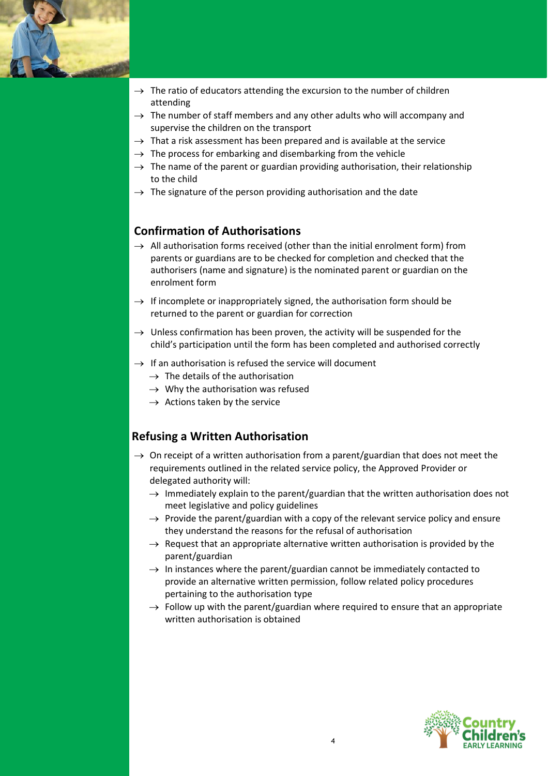

- $\rightarrow$  The ratio of educators attending the excursion to the number of children attending
- $\rightarrow$  The number of staff members and any other adults who will accompany and supervise the children on the transport
- $\rightarrow$  That a risk assessment has been prepared and is available at the service
- $\rightarrow$  The process for embarking and disembarking from the vehicle
- $\rightarrow$  The name of the parent or guardian providing authorisation, their relationship to the child
- $\rightarrow$  The signature of the person providing authorisation and the date

## **Confirmation of Authorisations**

- $\rightarrow$  All authorisation forms received (other than the initial enrolment form) from parents or guardians are to be checked for completion and checked that the authorisers (name and signature) is the nominated parent or guardian on the enrolment form
- $\rightarrow$  If incomplete or inappropriately signed, the authorisation form should be returned to the parent or guardian for correction
- $\rightarrow$  Unless confirmation has been proven, the activity will be suspended for the child's participation until the form has been completed and authorised correctly
- $\rightarrow$  If an authorisation is refused the service will document
	- $\rightarrow$  The details of the authorisation
	- $\rightarrow$  Why the authorisation was refused
	- $\rightarrow$  Actions taken by the service

## **Refusing a Written Authorisation**

- $\rightarrow$  On receipt of a written authorisation from a parent/guardian that does not meet the requirements outlined in the related service policy, the Approved Provider or delegated authority will:
	- $\rightarrow$  Immediately explain to the parent/guardian that the written authorisation does not meet legislative and policy guidelines
	- $\rightarrow$  Provide the parent/guardian with a copy of the relevant service policy and ensure they understand the reasons for the refusal of authorisation
	- $\rightarrow$  Request that an appropriate alternative written authorisation is provided by the parent/guardian
	- $\rightarrow$  In instances where the parent/guardian cannot be immediately contacted to provide an alternative written permission, follow related policy procedures pertaining to the authorisation type
	- $\rightarrow$  Follow up with the parent/guardian where required to ensure that an appropriate written authorisation is obtained

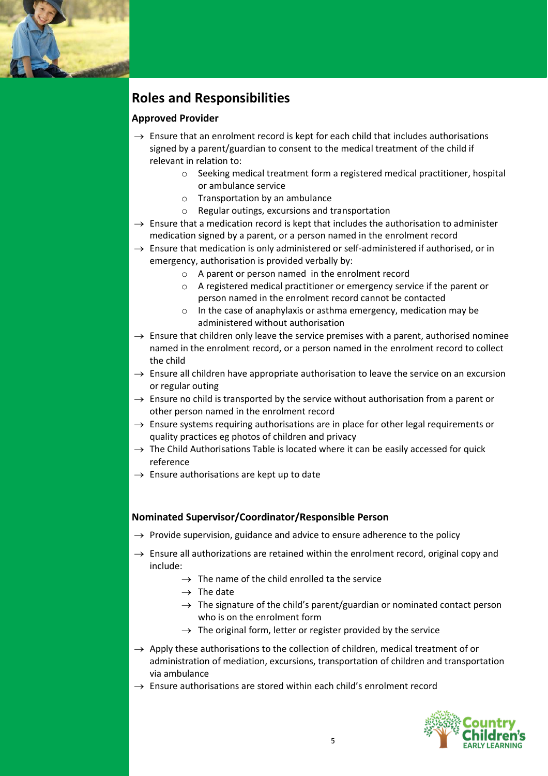

# **Roles and Responsibilities**

#### **Approved Provider**

- $\rightarrow$  Ensure that an enrolment record is kept for each child that includes authorisations signed by a parent/guardian to consent to the medical treatment of the child if relevant in relation to:
	- $\circ$  Seeking medical treatment form a registered medical practitioner, hospital or ambulance service
	- o Transportation by an ambulance
	- o Regular outings, excursions and transportation
- $\rightarrow$  Ensure that a medication record is kept that includes the authorisation to administer medication signed by a parent, or a person named in the enrolment record
- $\rightarrow$  Ensure that medication is only administered or self-administered if authorised, or in emergency, authorisation is provided verbally by:
	- o A parent or person named in the enrolment record
	- o A registered medical practitioner or emergency service if the parent or person named in the enrolment record cannot be contacted
	- o In the case of anaphylaxis or asthma emergency, medication may be administered without authorisation
- $\rightarrow$  Ensure that children only leave the service premises with a parent, authorised nominee named in the enrolment record, or a person named in the enrolment record to collect the child
- $\rightarrow$  Ensure all children have appropriate authorisation to leave the service on an excursion or regular outing
- $\rightarrow$  Ensure no child is transported by the service without authorisation from a parent or other person named in the enrolment record
- $\rightarrow$  Ensure systems requiring authorisations are in place for other legal requirements or quality practices eg photos of children and privacy
- $\rightarrow$  The Child Authorisations Table is located where it can be easily accessed for quick reference
- $\rightarrow$  Ensure authorisations are kept up to date

#### **Nominated Supervisor/Coordinator/Responsible Person**

- $\rightarrow$  Provide supervision, guidance and advice to ensure adherence to the policy
- $\rightarrow$  Ensure all authorizations are retained within the enrolment record, original copy and include:
	- $\rightarrow$  The name of the child enrolled ta the service
	- $\rightarrow$  The date
	- $\rightarrow$  The signature of the child's parent/guardian or nominated contact person who is on the enrolment form
	- $\rightarrow$  The original form, letter or register provided by the service
- $\rightarrow$  Apply these authorisations to the collection of children, medical treatment of or administration of mediation, excursions, transportation of children and transportation via ambulance
- $\rightarrow$  Ensure authorisations are stored within each child's enrolment record

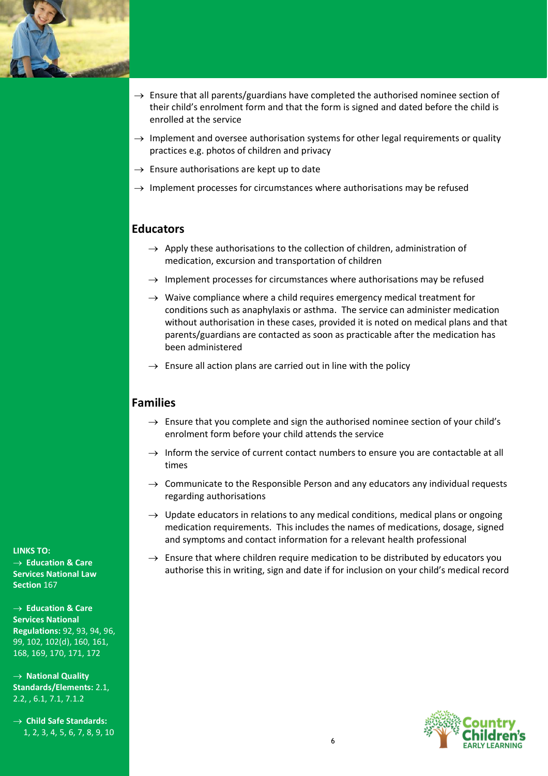

- $\rightarrow$  Ensure that all parents/guardians have completed the authorised nominee section of their child's enrolment form and that the form is signed and dated before the child is enrolled at the service
- $\rightarrow$  Implement and oversee authorisation systems for other legal requirements or quality practices e.g. photos of children and privacy
- $\rightarrow$  Ensure authorisations are kept up to date
- $\rightarrow$  Implement processes for circumstances where authorisations may be refused

#### **Educators**

- $\rightarrow$  Apply these authorisations to the collection of children, administration of medication, excursion and transportation of children
- $\rightarrow$  Implement processes for circumstances where authorisations may be refused
- $\rightarrow$  Waive compliance where a child requires emergency medical treatment for conditions such as anaphylaxis or asthma. The service can administer medication without authorisation in these cases, provided it is noted on medical plans and that parents/guardians are contacted as soon as practicable after the medication has been administered
- $\rightarrow$  Ensure all action plans are carried out in line with the policy

#### **Families**

- $\rightarrow$  Ensure that you complete and sign the authorised nominee section of your child's enrolment form before your child attends the service
- $\rightarrow$  Inform the service of current contact numbers to ensure you are contactable at all times
- $\rightarrow$  Communicate to the Responsible Person and any educators any individual requests regarding authorisations
- $\rightarrow$  Update educators in relations to any medical conditions, medical plans or ongoing medication requirements. This includes the names of medications, dosage, signed and symptoms and contact information for a relevant health professional
- $\rightarrow$  Ensure that where children require medication to be distributed by educators you authorise this in writing, sign and date if for inclusion on your child's medical record



**LINKS TO:** → **Education & Care Services National Law Section** 167

→ **Education & Care Services National Regulations:** 92, 93, 94, 96, 99, 102, 102(d), 160, 161, 168, 169, 170, 171, 172

→ **National Quality Standards/Elements:** 2.1, 2.2, , 6.1, 7.1, 7.1.2

→ **Child Safe Standards:**  1, 2, 3, 4, 5, 6, 7, 8, 9, 10